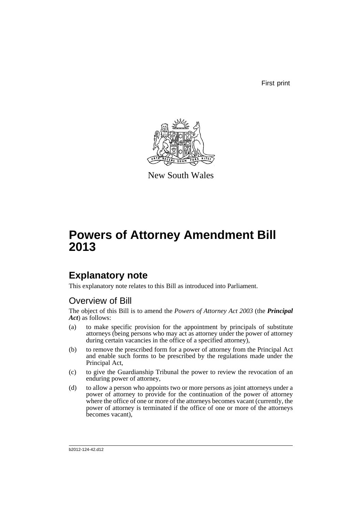First print



New South Wales

# **Powers of Attorney Amendment Bill 2013**

## **Explanatory note**

This explanatory note relates to this Bill as introduced into Parliament.

### Overview of Bill

The object of this Bill is to amend the *Powers of Attorney Act 2003* (the *Principal Act*) as follows:

- (a) to make specific provision for the appointment by principals of substitute attorneys (being persons who may act as attorney under the power of attorney during certain vacancies in the office of a specified attorney),
- (b) to remove the prescribed form for a power of attorney from the Principal Act and enable such forms to be prescribed by the regulations made under the Principal Act,
- (c) to give the Guardianship Tribunal the power to review the revocation of an enduring power of attorney,
- (d) to allow a person who appoints two or more persons as joint attorneys under a power of attorney to provide for the continuation of the power of attorney where the office of one or more of the attorneys becomes vacant (currently, the power of attorney is terminated if the office of one or more of the attorneys becomes vacant),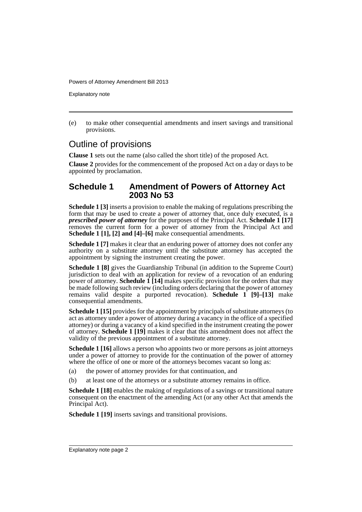Explanatory note

(e) to make other consequential amendments and insert savings and transitional provisions.

### Outline of provisions

**Clause 1** sets out the name (also called the short title) of the proposed Act.

**Clause 2** provides for the commencement of the proposed Act on a day or days to be appointed by proclamation.

#### **Schedule 1 Amendment of Powers of Attorney Act 2003 No 53**

**Schedule 1 [3]** inserts a provision to enable the making of regulations prescribing the form that may be used to create a power of attorney that, once duly executed, is a *prescribed power of attorney* for the purposes of the Principal Act. **Schedule 1 [17]** removes the current form for a power of attorney from the Principal Act and **Schedule 1 [1], [2] and [4]–[6]** make consequential amendments.

**Schedule 1 [7]** makes it clear that an enduring power of attorney does not confer any authority on a substitute attorney until the substitute attorney has accepted the appointment by signing the instrument creating the power.

**Schedule 1 [8]** gives the Guardianship Tribunal (in addition to the Supreme Court) jurisdiction to deal with an application for review of a revocation of an enduring power of attorney. **Schedule 1 [14]** makes specific provision for the orders that may be made following such review (including orders declaring that the power of attorney remains valid despite a purported revocation). **Schedule 1 [9]–[13]** make consequential amendments.

**Schedule 1 [15]** provides for the appointment by principals of substitute attorneys (to act as attorney under a power of attorney during a vacancy in the office of a specified attorney) or during a vacancy of a kind specified in the instrument creating the power of attorney. **Schedule 1 [19]** makes it clear that this amendment does not affect the validity of the previous appointment of a substitute attorney.

**Schedule 1 [16]** allows a person who appoints two or more persons as joint attorneys under a power of attorney to provide for the continuation of the power of attorney where the office of one or more of the attorneys becomes vacant so long as:

- (a) the power of attorney provides for that continuation, and
- (b) at least one of the attorneys or a substitute attorney remains in office.

**Schedule 1 [18]** enables the making of regulations of a savings or transitional nature consequent on the enactment of the amending Act (or any other Act that amends the Principal Act).

**Schedule 1 [19]** inserts savings and transitional provisions.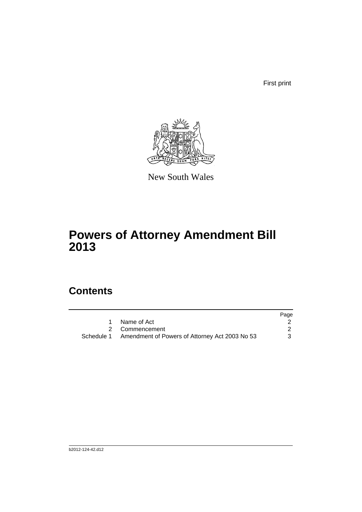First print



New South Wales

# **Powers of Attorney Amendment Bill 2013**

## **Contents**

|                                                           | Page |
|-----------------------------------------------------------|------|
| 1 Name of Act                                             |      |
| 2 Commencement                                            |      |
| Schedule 1 Amendment of Powers of Attorney Act 2003 No 53 |      |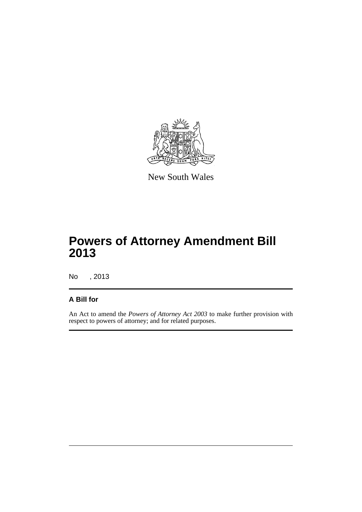

New South Wales

## **Powers of Attorney Amendment Bill 2013**

No , 2013

#### **A Bill for**

An Act to amend the *Powers of Attorney Act 2003* to make further provision with respect to powers of attorney; and for related purposes.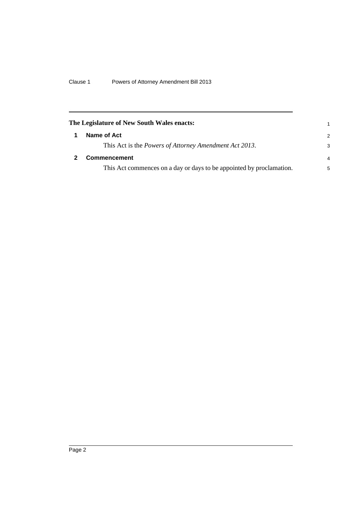<span id="page-5-1"></span><span id="page-5-0"></span>

| The Legislature of New South Wales enacts:                           |               |  |  |  |  |
|----------------------------------------------------------------------|---------------|--|--|--|--|
| Name of Act                                                          | $\mathcal{P}$ |  |  |  |  |
| This Act is the <i>Powers of Attorney Amendment Act 2013</i> .       | 3             |  |  |  |  |
| <b>Commencement</b>                                                  | 4             |  |  |  |  |
| This Act commences on a day or days to be appointed by proclamation. | 5             |  |  |  |  |
|                                                                      |               |  |  |  |  |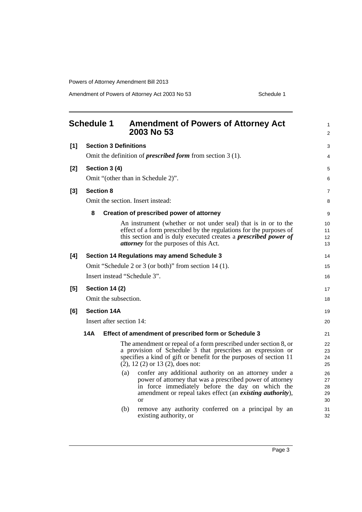Amendment of Powers of Attorney Act 2003 No 53 Schedule 1

<span id="page-6-0"></span>

| <b>Schedule 1</b> |                                                                     | <b>Amendment of Powers of Attorney Act</b><br>2003 No 53                                                                                                                                                                                                         | 1<br>2                     |  |  |  |  |
|-------------------|---------------------------------------------------------------------|------------------------------------------------------------------------------------------------------------------------------------------------------------------------------------------------------------------------------------------------------------------|----------------------------|--|--|--|--|
| [1]               | <b>Section 3 Definitions</b>                                        |                                                                                                                                                                                                                                                                  |                            |  |  |  |  |
|                   | Omit the definition of <i>prescribed form</i> from section $3(1)$ . |                                                                                                                                                                                                                                                                  |                            |  |  |  |  |
| [2]               | Section 3 (4)                                                       |                                                                                                                                                                                                                                                                  |                            |  |  |  |  |
|                   |                                                                     | Omit "(other than in Schedule 2)".                                                                                                                                                                                                                               | 6                          |  |  |  |  |
| $[3]$             | <b>Section 8</b>                                                    |                                                                                                                                                                                                                                                                  | $\overline{7}$             |  |  |  |  |
|                   |                                                                     | Omit the section. Insert instead:                                                                                                                                                                                                                                | 8                          |  |  |  |  |
|                   | 8                                                                   | Creation of prescribed power of attorney                                                                                                                                                                                                                         | 9                          |  |  |  |  |
|                   |                                                                     | An instrument (whether or not under seal) that is in or to the<br>effect of a form prescribed by the regulations for the purposes of<br>this section and is duly executed creates a <i>prescribed power of</i><br><i>attorney</i> for the purposes of this Act.  | 10<br>11<br>12<br>13       |  |  |  |  |
| [4]               | Section 14 Regulations may amend Schedule 3                         |                                                                                                                                                                                                                                                                  |                            |  |  |  |  |
|                   |                                                                     | Omit "Schedule 2 or 3 (or both)" from section 14 (1).                                                                                                                                                                                                            | 15                         |  |  |  |  |
|                   | Insert instead "Schedule 3".                                        |                                                                                                                                                                                                                                                                  |                            |  |  |  |  |
| [5]               | <b>Section 14 (2)</b>                                               |                                                                                                                                                                                                                                                                  |                            |  |  |  |  |
|                   | Omit the subsection.                                                |                                                                                                                                                                                                                                                                  |                            |  |  |  |  |
| [6]               | <b>Section 14A</b>                                                  |                                                                                                                                                                                                                                                                  |                            |  |  |  |  |
|                   | Insert after section 14:                                            |                                                                                                                                                                                                                                                                  |                            |  |  |  |  |
|                   | 14A                                                                 | Effect of amendment of prescribed form or Schedule 3                                                                                                                                                                                                             | 21                         |  |  |  |  |
|                   |                                                                     | The amendment or repeal of a form prescribed under section 8, or<br>a provision of Schedule 3 that prescribes an expression or<br>specifies a kind of gift or benefit for the purposes of section 11<br>$(2)$ , 12 $(2)$ or 13 $(2)$ , does not:                 | 22<br>23<br>24<br>25       |  |  |  |  |
|                   |                                                                     | (a)<br>confer any additional authority on an attorney under a<br>power of attorney that was a prescribed power of attorney<br>in force immediately before the day on which the<br>amendment or repeal takes effect (an <i>existing authority</i> ),<br><b>or</b> | 26<br>27<br>28<br>29<br>30 |  |  |  |  |
|                   |                                                                     | (b)<br>remove any authority conferred on a principal by an<br>existing authority, or                                                                                                                                                                             | 31<br>32                   |  |  |  |  |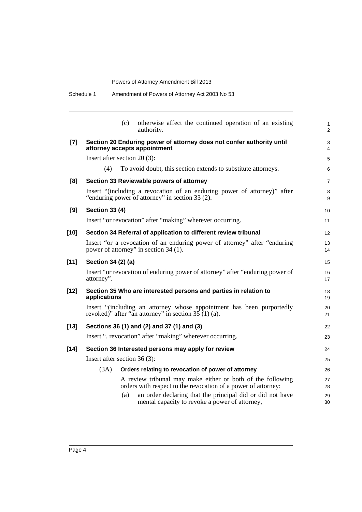|        | (c)<br>otherwise affect the continued operation of an existing<br>authority.                                                   |  |  |  |
|--------|--------------------------------------------------------------------------------------------------------------------------------|--|--|--|
| $[7]$  | Section 20 Enduring power of attorney does not confer authority until<br>attorney accepts appointment                          |  |  |  |
|        | Insert after section $20(3)$ :                                                                                                 |  |  |  |
|        | To avoid doubt, this section extends to substitute attorneys.<br>(4)                                                           |  |  |  |
| [8]    | Section 33 Reviewable powers of attorney                                                                                       |  |  |  |
|        | Insert "(including a revocation of an enduring power of attorney)" after<br>"enduring power of attorney" in section 33 (2).    |  |  |  |
| [9]    | <b>Section 33 (4)</b>                                                                                                          |  |  |  |
|        | Insert "or revocation" after "making" wherever occurring.                                                                      |  |  |  |
| $[10]$ | Section 34 Referral of application to different review tribunal                                                                |  |  |  |
|        | Insert "or a revocation of an enduring power of attorney" after "enduring<br>power of attorney" in section 34 (1).             |  |  |  |
| $[11]$ | Section 34 (2) (a)                                                                                                             |  |  |  |
|        | Insert "or revocation of enduring power of attorney" after "enduring power of<br>attorney".                                    |  |  |  |
| $[12]$ | Section 35 Who are interested persons and parties in relation to<br>applications                                               |  |  |  |
|        | Insert "(including an attorney whose appointment has been purportedly<br>revoked)" after "an attorney" in section $35(1)(a)$ . |  |  |  |
| $[13]$ | Sections 36 (1) and (2) and 37 (1) and (3)                                                                                     |  |  |  |
|        | Insert ", revocation" after "making" wherever occurring.                                                                       |  |  |  |
| $[14]$ | Section 36 Interested persons may apply for review                                                                             |  |  |  |
|        | Insert after section $36(3)$ :                                                                                                 |  |  |  |
|        | (3A)<br>Orders relating to revocation of power of attorney                                                                     |  |  |  |
|        | A review tribunal may make either or both of the following<br>orders with respect to the revocation of a power of attorney:    |  |  |  |
|        | an order declaring that the principal did or did not have<br>(a)<br>mental capacity to revoke a power of attorney,             |  |  |  |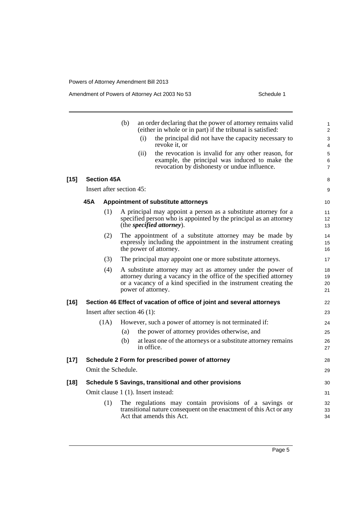Amendment of Powers of Attorney Act 2003 No 53 Schedule 1

| $[15]$ |                                                                        | <b>Section 45A</b> | (b)<br>Insert after section 45: | (i)<br>(ii) | an order declaring that the power of attorney remains valid<br>(either in whole or in part) if the tribunal is satisfied:<br>the principal did not have the capacity necessary to<br>revoke it, or<br>the revocation is invalid for any other reason, for<br>example, the principal was induced to make the<br>revocation by dishonesty or undue influence. | 1<br>$\overline{2}$<br>3<br>4<br>5<br>6<br>$\overline{7}$<br>8<br>9 |
|--------|------------------------------------------------------------------------|--------------------|---------------------------------|-------------|-------------------------------------------------------------------------------------------------------------------------------------------------------------------------------------------------------------------------------------------------------------------------------------------------------------------------------------------------------------|---------------------------------------------------------------------|
|        | 45A                                                                    |                    |                                 |             | Appointment of substitute attorneys                                                                                                                                                                                                                                                                                                                         | 10                                                                  |
|        | (1)                                                                    |                    |                                 |             | A principal may appoint a person as a substitute attorney for a<br>specified person who is appointed by the principal as an attorney<br>(the <i>specified attorney</i> ).                                                                                                                                                                                   | 11<br>12 <sup>2</sup><br>13                                         |
|        |                                                                        | (2)                |                                 |             | The appointment of a substitute attorney may be made by<br>expressly including the appointment in the instrument creating<br>the power of attorney.                                                                                                                                                                                                         | 14<br>15<br>16                                                      |
|        |                                                                        | (3)                |                                 |             | The principal may appoint one or more substitute attorneys.                                                                                                                                                                                                                                                                                                 | 17                                                                  |
|        |                                                                        | (4)                |                                 |             | A substitute attorney may act as attorney under the power of<br>attorney during a vacancy in the office of the specified attorney<br>or a vacancy of a kind specified in the instrument creating the<br>power of attorney.                                                                                                                                  | 18<br>19<br>20<br>21                                                |
| $[16]$ | Section 46 Effect of vacation of office of joint and several attorneys |                    |                                 |             | 22                                                                                                                                                                                                                                                                                                                                                          |                                                                     |
|        | Insert after section $46(1)$ :                                         |                    |                                 |             | 23                                                                                                                                                                                                                                                                                                                                                          |                                                                     |
|        |                                                                        | (1A)               |                                 |             | However, such a power of attorney is not terminated if:                                                                                                                                                                                                                                                                                                     | 24                                                                  |
|        |                                                                        |                    | (a)                             |             | the power of attorney provides otherwise, and                                                                                                                                                                                                                                                                                                               | 25                                                                  |
|        |                                                                        |                    | (b)                             | in office.  | at least one of the attorneys or a substitute attorney remains                                                                                                                                                                                                                                                                                              | 26<br>27                                                            |
| $[17]$ | Schedule 2 Form for prescribed power of attorney                       |                    |                                 |             |                                                                                                                                                                                                                                                                                                                                                             |                                                                     |
|        |                                                                        |                    | Omit the Schedule.              |             |                                                                                                                                                                                                                                                                                                                                                             | 29                                                                  |
| $[18]$ | Schedule 5 Savings, transitional and other provisions                  |                    |                                 | 30          |                                                                                                                                                                                                                                                                                                                                                             |                                                                     |
|        |                                                                        |                    |                                 |             | Omit clause 1 (1). Insert instead:                                                                                                                                                                                                                                                                                                                          | 31                                                                  |
|        |                                                                        | (1)                |                                 |             | The regulations may contain provisions of a savings or<br>transitional nature consequent on the enactment of this Act or any<br>Act that amends this Act.                                                                                                                                                                                                   | 32<br>33<br>34                                                      |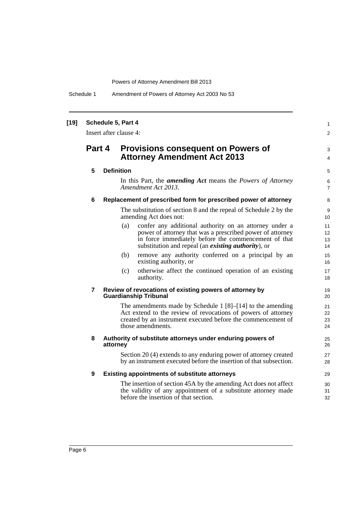Schedule 1 Amendment of Powers of Attorney Act 2003 No 53

| $[19]$ | Schedule 5, Part 4<br>Insert after clause 4: |  |                                                                                                                                                                                                                                                   |                      |  |  |
|--------|----------------------------------------------|--|---------------------------------------------------------------------------------------------------------------------------------------------------------------------------------------------------------------------------------------------------|----------------------|--|--|
|        | Part 4                                       |  | <b>Provisions consequent on Powers of</b><br><b>Attorney Amendment Act 2013</b>                                                                                                                                                                   | 3<br>$\overline{4}$  |  |  |
|        | 5                                            |  | <b>Definition</b>                                                                                                                                                                                                                                 | 5                    |  |  |
|        |                                              |  | In this Part, the <i>amending Act</i> means the <i>Powers of Attorney</i><br>Amendment Act 2013.                                                                                                                                                  | 6<br>$\overline{7}$  |  |  |
|        | 6                                            |  | Replacement of prescribed form for prescribed power of attorney                                                                                                                                                                                   | 8                    |  |  |
|        |                                              |  | The substitution of section 8 and the repeal of Schedule 2 by the<br>amending Act does not:                                                                                                                                                       | 9<br>10              |  |  |
|        |                                              |  | (a)<br>confer any additional authority on an attorney under a<br>power of attorney that was a prescribed power of attorney<br>in force immediately before the commencement of that<br>substitution and repeal (an <i>existing authority</i> ), or | 11<br>12<br>13<br>14 |  |  |
|        |                                              |  | remove any authority conferred on a principal by an<br>(b)<br>existing authority, or                                                                                                                                                              | 15<br>16             |  |  |
|        |                                              |  | otherwise affect the continued operation of an existing<br>(c)<br>authority.                                                                                                                                                                      | 17<br>18             |  |  |
|        | $\overline{7}$                               |  | Review of revocations of existing powers of attorney by<br><b>Guardianship Tribunal</b>                                                                                                                                                           | 19<br>20             |  |  |
|        |                                              |  | The amendments made by Schedule 1 $[8]$ – $[14]$ to the amending<br>Act extend to the review of revocations of powers of attorney<br>created by an instrument executed before the commencement of<br>those amendments.                            | 21<br>22<br>23<br>24 |  |  |
|        | 8                                            |  | Authority of substitute attorneys under enduring powers of<br>attorney                                                                                                                                                                            | 25<br>26             |  |  |
|        |                                              |  | Section 20 (4) extends to any enduring power of attorney created<br>by an instrument executed before the insertion of that subsection.                                                                                                            | 27<br>28             |  |  |
|        | 9                                            |  | <b>Existing appointments of substitute attorneys</b>                                                                                                                                                                                              | 29                   |  |  |
|        |                                              |  | The insertion of section 45A by the amending Act does not affect<br>the validity of any appointment of a substitute attorney made<br>before the insertion of that section.                                                                        | 30<br>31<br>32       |  |  |